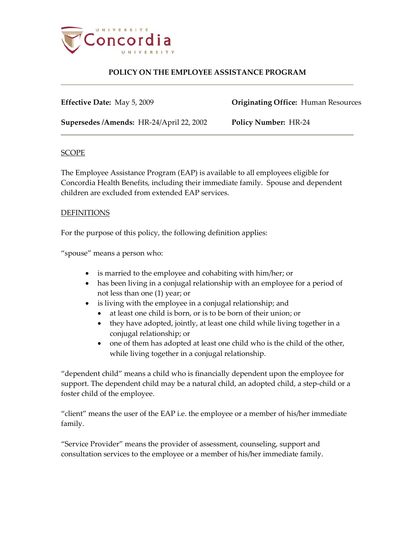

**Effective Date:** May 5, 2009 **Originating Office:** Human Resources

**Supersedes /Amends:** HR-24/April 22, 2002 **Policy Number:** HR-24

### **SCOPE**

The Employee Assistance Program (EAP) is available to all employees eligible for Concordia Health Benefits, including their immediate family. Spouse and dependent children are excluded from extended EAP services.

### DEFINITIONS

For the purpose of this policy, the following definition applies:

"spouse" means a person who:

- is married to the employee and cohabiting with him/her; or
- has been living in a conjugal relationship with an employee for a period of not less than one (1) year; or
- is living with the employee in a conjugal relationship; and
	- at least one child is born, or is to be born of their union; or
	- they have adopted, jointly, at least one child while living together in a conjugal relationship; or
	- one of them has adopted at least one child who is the child of the other, while living together in a conjugal relationship.

"dependent child" means a child who is financially dependent upon the employee for support. The dependent child may be a natural child, an adopted child, a step-child or a foster child of the employee.

"client" means the user of the EAP i.e. the employee or a member of his/her immediate family.

"Service Provider" means the provider of assessment, counseling, support and consultation services to the employee or a member of his/her immediate family.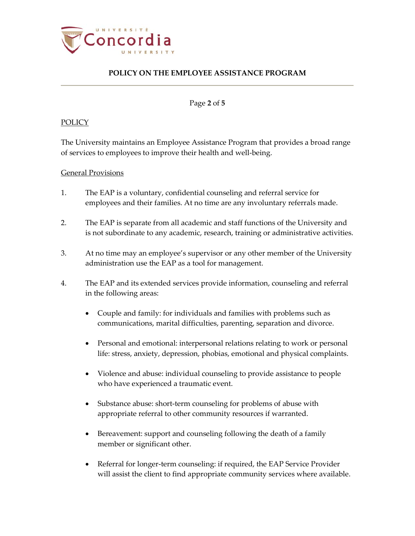

Page **2** of **5**

### **POLICY**

The University maintains an Employee Assistance Program that provides a broad range of services to employees to improve their health and well-being.

#### General Provisions

- 1. The EAP is a voluntary, confidential counseling and referral service for employees and their families. At no time are any involuntary referrals made.
- 2. The EAP is separate from all academic and staff functions of the University and is not subordinate to any academic, research, training or administrative activities.
- 3. At no time may an employee's supervisor or any other member of the University administration use the EAP as a tool for management.
- 4. The EAP and its extended services provide information, counseling and referral in the following areas:
	- Couple and family: for individuals and families with problems such as communications, marital difficulties, parenting, separation and divorce.
	- Personal and emotional: interpersonal relations relating to work or personal life: stress, anxiety, depression, phobias, emotional and physical complaints.
	- Violence and abuse: individual counseling to provide assistance to people who have experienced a traumatic event.
	- Substance abuse: short-term counseling for problems of abuse with appropriate referral to other community resources if warranted.
	- Bereavement: support and counseling following the death of a family member or significant other.
	- Referral for longer-term counseling: if required, the EAP Service Provider will assist the client to find appropriate community services where available.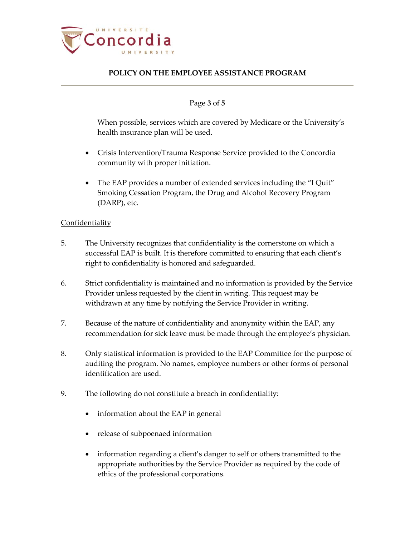

#### Page **3** of **5**

When possible, services which are covered by Medicare or the University's health insurance plan will be used.

- Crisis Intervention/Trauma Response Service provided to the Concordia community with proper initiation.
- The EAP provides a number of extended services including the "I Quit" Smoking Cessation Program, the Drug and Alcohol Recovery Program (DARP), etc.

#### **Confidentiality**

- 5. The University recognizes that confidentiality is the cornerstone on which a successful EAP is built. It is therefore committed to ensuring that each client's right to confidentiality is honored and safeguarded.
- 6. Strict confidentiality is maintained and no information is provided by the Service Provider unless requested by the client in writing. This request may be withdrawn at any time by notifying the Service Provider in writing.
- 7. Because of the nature of confidentiality and anonymity within the EAP, any recommendation for sick leave must be made through the employee's physician.
- 8. Only statistical information is provided to the EAP Committee for the purpose of auditing the program. No names, employee numbers or other forms of personal identification are used.
- 9. The following do not constitute a breach in confidentiality:
	- information about the EAP in general
	- release of subpoenaed information
	- information regarding a client's danger to self or others transmitted to the appropriate authorities by the Service Provider as required by the code of ethics of the professional corporations.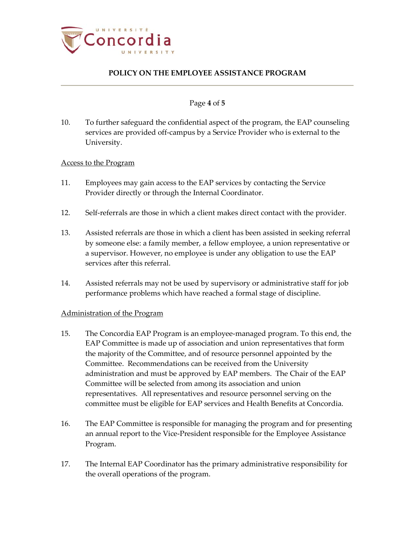

#### Page **4** of **5**

10. To further safeguard the confidential aspect of the program, the EAP counseling services are provided off-campus by a Service Provider who is external to the University.

#### Access to the Program

- 11. Employees may gain access to the EAP services by contacting the Service Provider directly or through the Internal Coordinator.
- 12. Self-referrals are those in which a client makes direct contact with the provider.
- 13. Assisted referrals are those in which a client has been assisted in seeking referral by someone else: a family member, a fellow employee, a union representative or a supervisor. However, no employee is under any obligation to use the EAP services after this referral.
- 14. Assisted referrals may not be used by supervisory or administrative staff for job performance problems which have reached a formal stage of discipline.

### Administration of the Program

- 15. The Concordia EAP Program is an employee-managed program. To this end, the EAP Committee is made up of association and union representatives that form the majority of the Committee, and of resource personnel appointed by the Committee. Recommendations can be received from the University administration and must be approved by EAP members. The Chair of the EAP Committee will be selected from among its association and union representatives. All representatives and resource personnel serving on the committee must be eligible for EAP services and Health Benefits at Concordia.
- 16. The EAP Committee is responsible for managing the program and for presenting an annual report to the Vice-President responsible for the Employee Assistance Program.
- 17. The Internal EAP Coordinator has the primary administrative responsibility for the overall operations of the program.